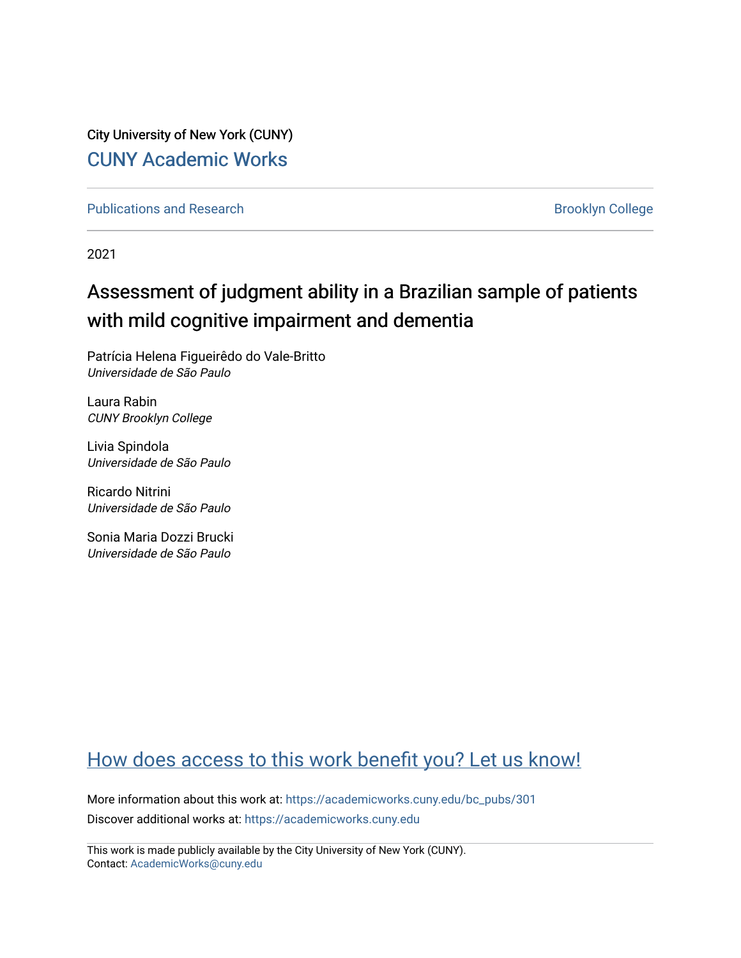City University of New York (CUNY) [CUNY Academic Works](https://academicworks.cuny.edu/) 

[Publications and Research](https://academicworks.cuny.edu/bc_pubs) **Brooklyn College** Brooklyn College

2021

# Assessment of judgment ability in a Brazilian sample of patients with mild cognitive impairment and dementia

Patrícia Helena Figueirêdo do Vale-Britto Universidade de São Paulo

Laura Rabin CUNY Brooklyn College

Livia Spindola Universidade de São Paulo

Ricardo Nitrini Universidade de São Paulo

Sonia Maria Dozzi Brucki Universidade de São Paulo

# [How does access to this work benefit you? Let us know!](http://ols.cuny.edu/academicworks/?ref=https://academicworks.cuny.edu/bc_pubs/301)

More information about this work at: [https://academicworks.cuny.edu/bc\\_pubs/301](https://academicworks.cuny.edu/bc_pubs/301) Discover additional works at: [https://academicworks.cuny.edu](https://academicworks.cuny.edu/?)

This work is made publicly available by the City University of New York (CUNY). Contact: [AcademicWorks@cuny.edu](mailto:AcademicWorks@cuny.edu)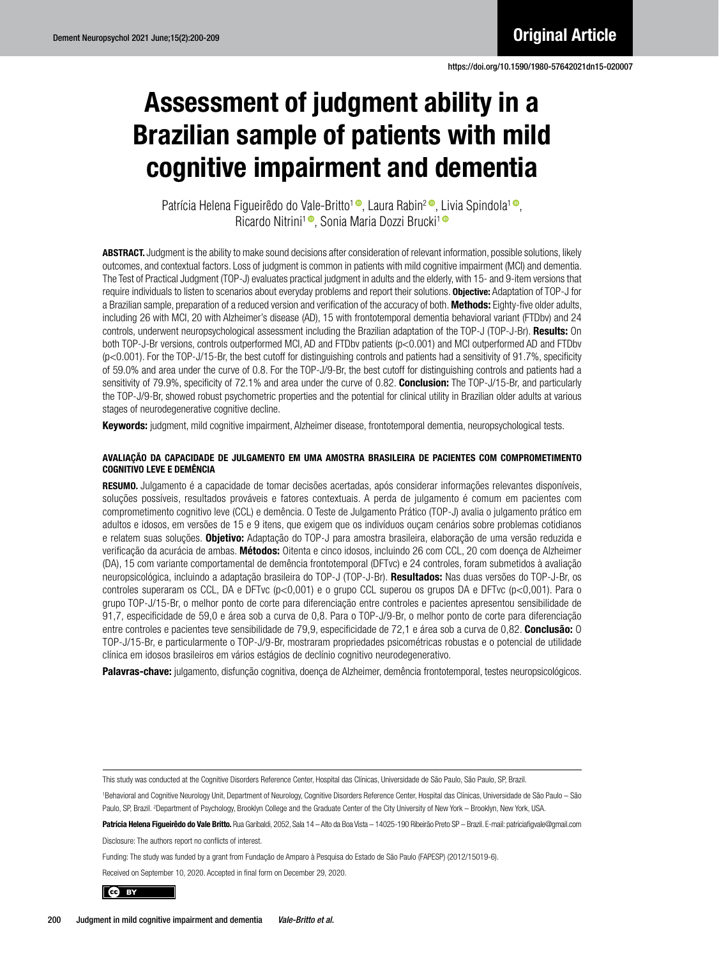# Assessment of judgment ability in a Brazilian sample of patients with mild cognitive impairment and dementia

Patrícia Helena Figueirêdo do Vale-Britto<sup>1</sup> , Laura Rabin<sup>2</sup> , Livia Spindola<sup>1</sup> , Ricardo Nitrini<sup>1</sup><sup>®</sup>, Sonia Maria Dozzi Brucki<sup>1</sup><sup>®</sup>

ABSTRACT. Judgment is the ability to make sound decisions after consideration of relevant information, possible solutions, likely outcomes, and contextual factors. Loss of judgment is common in patients with mild cognitive impairment (MCI) and dementia. The Test of Practical Judgment (TOP-J) evaluates practical judgment in adults and the elderly, with 15- and 9-item versions that require individuals to listen to scenarios about everyday problems and report their solutions. Objective: Adaptation of TOP-J for a Brazilian sample, preparation of a reduced version and verification of the accuracy of both. Methods: Eighty-five older adults, including 26 with MCI, 20 with Alzheimer's disease (AD), 15 with frontotemporal dementia behavioral variant (FTDbv) and 24 controls, underwent neuropsychological assessment including the Brazilian adaptation of the TOP-J (TOP-J-Br). Results: On both TOP-J-Br versions, controls outperformed MCI, AD and FTDbv patients (p<0.001) and MCI outperformed AD and FTDbv  $(p<0.001)$ . For the TOP-J/15-Br, the best cutoff for distinguishing controls and patients had a sensitivity of 91.7%, specificity of 59.0% and area under the curve of 0.8. For the TOP-J/9-Br, the best cutoff for distinguishing controls and patients had a sensitivity of 79.9%, specificity of 72.1% and area under the curve of 0.82. **Conclusion:** The TOP-J/15-Br, and particularly the TOP-J/9-Br, showed robust psychometric properties and the potential for clinical utility in Brazilian older adults at various stages of neurodegenerative cognitive decline.

Keywords: judgment, mild cognitive impairment, Alzheimer disease, frontotemporal dementia, neuropsychological tests.

#### AVALIAÇÃO DA CAPACIDADE DE JULGAMENTO EM UMA AMOSTRA BRASILEIRA DE PACIENTES COM COMPROMETIMENTO COGNITIVO LEVE E DEMÊNCIA

RESUMO. Julgamento é a capacidade de tomar decisões acertadas, após considerar informações relevantes disponíveis, soluções possíveis, resultados prováveis e fatores contextuais. A perda de julgamento é comum em pacientes com comprometimento cognitivo leve (CCL) e demência. O Teste de Julgamento Prático (TOP-J) avalia o julgamento prático em adultos e idosos, em versões de 15 e 9 itens, que exigem que os indivíduos ouçam cenários sobre problemas cotidianos e relatem suas soluções. Objetivo: Adaptação do TOP-J para amostra brasileira, elaboração de uma versão reduzida e verificação da acurácia de ambas. Métodos: Oitenta e cinco idosos, incluindo 26 com CCL, 20 com doença de Alzheimer (DA), 15 com variante comportamental de demência frontotemporal (DFTvc) e 24 controles, foram submetidos à avaliação neuropsicológica, incluindo a adaptação brasileira do TOP-J (TOP-J-Br). Resultados: Nas duas versões do TOP-J-Br, os controles superaram os CCL, DA e DFTvc (p<0,001) e o grupo CCL superou os grupos DA e DFTvc (p<0,001). Para o grupo TOP-J/15-Br, o melhor ponto de corte para diferenciação entre controles e pacientes apresentou sensibilidade de 91,7, especificidade de 59,0 e área sob a curva de 0,8. Para o TOP-J/9-Br, o melhor ponto de corte para diferenciação entre controles e pacientes teve sensibilidade de 79,9, especificidade de 72,1 e área sob a curva de 0,82. **Conclusão:** O TOP-J/15-Br, e particularmente o TOP-J/9-Br, mostraram propriedades psicométricas robustas e o potencial de utilidade clínica em idosos brasileiros em vários estágios de declínio cognitivo neurodegenerativo.

Palavras-chave: julgamento, disfunção cognitiva, doença de Alzheimer, demência frontotemporal, testes neuropsicológicos.

This study was conducted at the Cognitive Disorders Reference Center, Hospital das Clínicas, Universidade de São Paulo, São Paulo, SP, Brazil.

1 Behavioral and Cognitive Neurology Unit, Department of Neurology, Cognitive Disorders Reference Center, Hospital das Clínicas, Universidade de São Paulo – São Paulo, SP, Brazil. 2 Department of Psychology, Brooklyn College and the Graduate Center of the City University of New York – Brooklyn, New York, USA.

Patrícia Helena Figueirêdo do Vale Britto. Rua Garibaldi, 2052, Sala 14 - Alto da Boa Vista - 14025-190 Ribeirão Preto SP - Brazil. E-mail: [patriciafigvale@gmail.com](mailto:patriciafigvale@gmail.com) Disclosure: The authors report no conflicts of interest.

Funding: The study was funded by a grant from Fundação de Amparo à Pesquisa do Estado de São Paulo (FAPESP) (2012/15019-6).

Received on September 10, 2020. Accepted in final form on December 29, 2020.

CO BY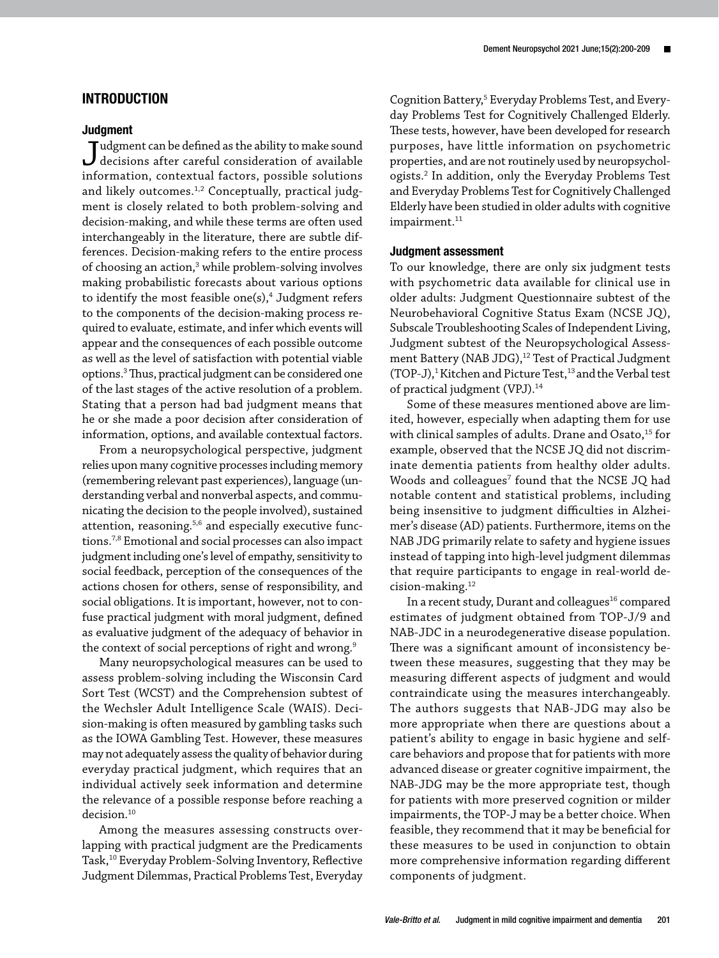# INTRODUCTION

#### **Judgment**

Judgment can be defined as the ability to make sound decisions after careful consideration of available information, contextual factors, possible solutions and likely outcomes.<sup>1,2</sup> Conceptually, practical judgment is closely related to both problem-solving and decision-making, and while these terms are often used interchangeably in the literature, there are subtle differences. Decision-making refers to the entire process of choosing an action,<sup>3</sup> while problem-solving involves making probabilistic forecasts about various options to identify the most feasible one $(s)$ ,<sup>4</sup> Judgment refers to the components of the decision-making process required to evaluate, estimate, and infer which events will appear and the consequences of each possible outcome as well as the level of satisfaction with potential viable options.3 Thus, practical judgment can be considered one of the last stages of the active resolution of a problem. Stating that a person had bad judgment means that he or she made a poor decision after consideration of information, options, and available contextual factors.

From a neuropsychological perspective, judgment relies upon many cognitive processes including memory (remembering relevant past experiences), language (understanding verbal and nonverbal aspects, and communicating the decision to the people involved), sustained attention, reasoning.<sup>5,6</sup> and especially executive functions.7,8 Emotional and social processes can also impact judgment including one's level of empathy, sensitivity to social feedback, perception of the consequences of the actions chosen for others, sense of responsibility, and social obligations. It is important, however, not to confuse practical judgment with moral judgment, defined as evaluative judgment of the adequacy of behavior in the context of social perceptions of right and wrong.<sup>9</sup>

Many neuropsychological measures can be used to assess problem-solving including the Wisconsin Card Sort Test (WCST) and the Comprehension subtest of the Wechsler Adult Intelligence Scale (WAIS). Decision-making is often measured by gambling tasks such as the IOWA Gambling Test. However, these measures may not adequately assess the quality of behavior during everyday practical judgment, which requires that an individual actively seek information and determine the relevance of a possible response before reaching a decision.<sup>10</sup>

Among the measures assessing constructs overlapping with practical judgment are the Predicaments Task,10 Everyday Problem-Solving Inventory, Reflective Judgment Dilemmas, Practical Problems Test, Everyday

Cognition Battery,<sup>5</sup> Everyday Problems Test, and Everyday Problems Test for Cognitively Challenged Elderly. These tests, however, have been developed for research purposes, have little information on psychometric properties, and are not routinely used by neuropsychologists.2 In addition, only the Everyday Problems Test and Everyday Problems Test for Cognitively Challenged Elderly have been studied in older adults with cognitive  $impairment.<sup>11</sup>$ 

#### Judgment assessment

To our knowledge, there are only six judgment tests with psychometric data available for clinical use in older adults: Judgment Questionnaire subtest of the Neurobehavioral Cognitive Status Exam (NCSE JQ), Subscale Troubleshooting Scales of Independent Living, Judgment subtest of the Neuropsychological Assessment Battery (NAB JDG),<sup>12</sup> Test of Practical Judgment (TOP-J),<sup>1</sup> Kitchen and Picture Test,<sup>13</sup> and the Verbal test of practical judgment (VPJ).14

Some of these measures mentioned above are limited, however, especially when adapting them for use with clinical samples of adults. Drane and Osato,<sup>15</sup> for example, observed that the NCSE JQ did not discriminate dementia patients from healthy older adults. Woods and colleagues<sup>7</sup> found that the NCSE JQ had notable content and statistical problems, including being insensitive to judgment difficulties in Alzheimer's disease (AD) patients. Furthermore, items on the NAB JDG primarily relate to safety and hygiene issues instead of tapping into high-level judgment dilemmas that require participants to engage in real-world decision-making.12

In a recent study, Durant and colleagues<sup>16</sup> compared estimates of judgment obtained from TOP-J/9 and NAB-JDC in a neurodegenerative disease population. There was a significant amount of inconsistency between these measures, suggesting that they may be measuring different aspects of judgment and would contraindicate using the measures interchangeably. The authors suggests that NAB-JDG may also be more appropriate when there are questions about a patient's ability to engage in basic hygiene and selfcare behaviors and propose that for patients with more advanced disease or greater cognitive impairment, the NAB-JDG may be the more appropriate test, though for patients with more preserved cognition or milder impairments, the TOP-J may be a better choice. When feasible, they recommend that it may be beneficial for these measures to be used in conjunction to obtain more comprehensive information regarding different components of judgment.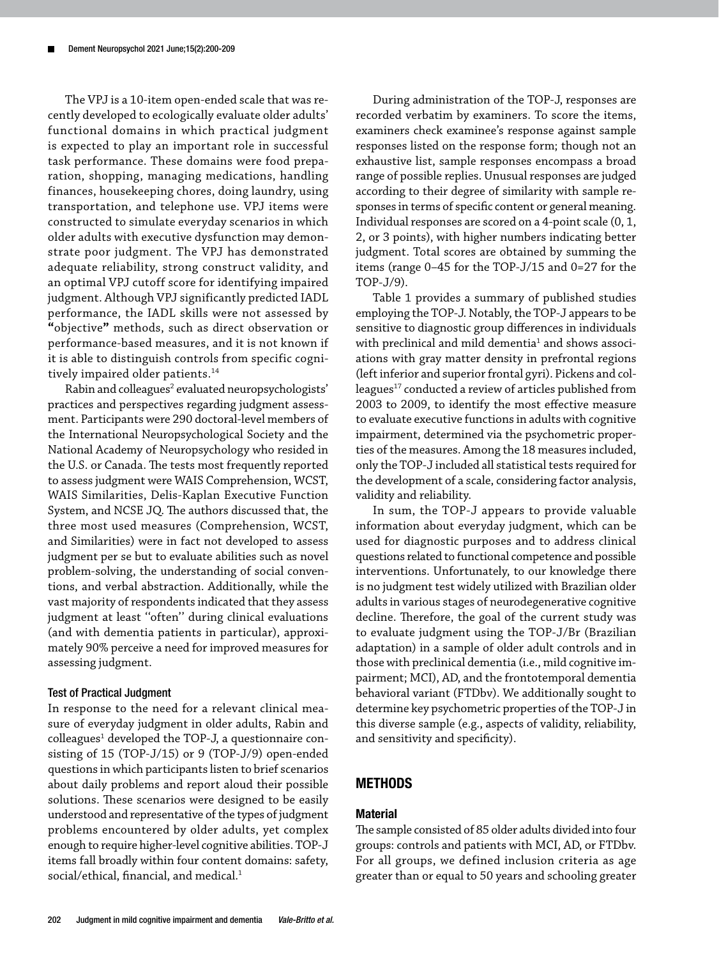The VPJ is a 10-item open-ended scale that was recently developed to ecologically evaluate older adults' functional domains in which practical judgment is expected to play an important role in successful task performance. These domains were food preparation, shopping, managing medications, handling finances, housekeeping chores, doing laundry, using transportation, and telephone use. VPJ items were constructed to simulate everyday scenarios in which older adults with executive dysfunction may demonstrate poor judgment. The VPJ has demonstrated adequate reliability, strong construct validity, and an optimal VPJ cutoff score for identifying impaired judgment. Although VPJ significantly predicted IADL performance, the IADL skills were not assessed by **"**objective**"** methods, such as direct observation or performance-based measures, and it is not known if it is able to distinguish controls from specific cognitively impaired older patients.<sup>14</sup>

Rabin and colleagues<sup>2</sup> evaluated neuropsychologists' practices and perspectives regarding judgment assessment. Participants were 290 doctoral-level members of the International Neuropsychological Society and the National Academy of Neuropsychology who resided in the U.S. or Canada. The tests most frequently reported to assess judgment were WAIS Comprehension, WCST, WAIS Similarities, Delis-Kaplan Executive Function System, and NCSE JQ. The authors discussed that, the three most used measures (Comprehension, WCST, and Similarities) were in fact not developed to assess judgment per se but to evaluate abilities such as novel problem-solving, the understanding of social conventions, and verbal abstraction. Additionally, while the vast majority of respondents indicated that they assess judgment at least ''often'' during clinical evaluations (and with dementia patients in particular), approximately 90% perceive a need for improved measures for assessing judgment.

#### Test of Practical Judgment

In response to the need for a relevant clinical measure of everyday judgment in older adults, Rabin and colleagues<sup>1</sup> developed the TOP-J, a questionnaire consisting of 15 (TOP-J/15) or 9 (TOP-J/9) open-ended questions in which participants listen to brief scenarios about daily problems and report aloud their possible solutions. These scenarios were designed to be easily understood and representative of the types of judgment problems encountered by older adults, yet complex enough to require higher-level cognitive abilities. TOP-J items fall broadly within four content domains: safety, social/ethical, financial, and medical.<sup>1</sup>

During administration of the TOP-J, responses are recorded verbatim by examiners. To score the items, examiners check examinee's response against sample responses listed on the response form; though not an exhaustive list, sample responses encompass a broad range of possible replies. Unusual responses are judged according to their degree of similarity with sample responses in terms of specific content or general meaning. Individual responses are scored on a 4-point scale (0, 1, 2, or 3 points), with higher numbers indicating better judgment. Total scores are obtained by summing the items (range 0–45 for the TOP-J/15 and 0=27 for the TOP-J/9).

Table 1 provides a summary of published studies employing the TOP-J. Notably, the TOP-J appears to be sensitive to diagnostic group differences in individuals with preclinical and mild dementia $^1$  and shows associations with gray matter density in prefrontal regions (left inferior and superior frontal gyri). Pickens and colleagues<sup>17</sup> conducted a review of articles published from 2003 to 2009, to identify the most effective measure to evaluate executive functions in adults with cognitive impairment, determined via the psychometric properties of the measures. Among the 18 measures included, only the TOP-J included all statistical tests required for the development of a scale, considering factor analysis, validity and reliability.

In sum, the TOP-J appears to provide valuable information about everyday judgment, which can be used for diagnostic purposes and to address clinical questions related to functional competence and possible interventions. Unfortunately, to our knowledge there is no judgment test widely utilized with Brazilian older adults in various stages of neurodegenerative cognitive decline. Therefore, the goal of the current study was to evaluate judgment using the TOP-J/Br (Brazilian adaptation) in a sample of older adult controls and in those with preclinical dementia (i.e., mild cognitive impairment; MCI), AD, and the frontotemporal dementia behavioral variant (FTDbv). We additionally sought to determine key psychometric properties of the TOP-J in this diverse sample (e.g., aspects of validity, reliability, and sensitivity and specificity).

# **METHODS**

# **Material**

The sample consisted of 85 older adults divided into four groups: controls and patients with MCI, AD, or FTDbv. For all groups, we defined inclusion criteria as age greater than or equal to 50 years and schooling greater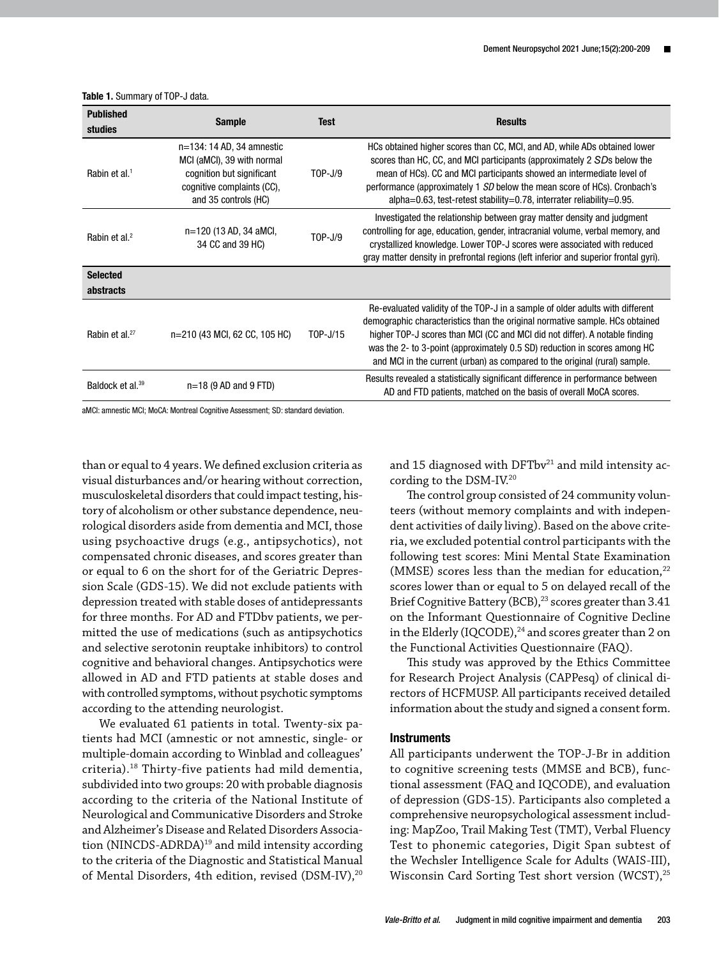| <b>Published</b><br>studies  | <b>Sample</b>                                                                                                                              | Test                                                                                                                                                                                                                                                                                                                                      | <b>Results</b>                                                                                                                                                                                                                                                                                                                                                                                          |
|------------------------------|--------------------------------------------------------------------------------------------------------------------------------------------|-------------------------------------------------------------------------------------------------------------------------------------------------------------------------------------------------------------------------------------------------------------------------------------------------------------------------------------------|---------------------------------------------------------------------------------------------------------------------------------------------------------------------------------------------------------------------------------------------------------------------------------------------------------------------------------------------------------------------------------------------------------|
| Rabin et al. <sup>1</sup>    | $n=134:14 AD,34$ amnestic<br>MCI (aMCI), 39 with normal<br>cognition but significant<br>cognitive complaints (CC),<br>and 35 controls (HC) | $TOP-J/9$                                                                                                                                                                                                                                                                                                                                 | HCs obtained higher scores than CC, MCI, and AD, while ADs obtained lower<br>scores than HC, CC, and MCI participants (approximately 2 SDs below the<br>mean of HCs). CC and MCI participants showed an intermediate level of<br>performance (approximately 1 SD below the mean score of HCs). Cronbach's<br>alpha=0.63, test-retest stability=0.78, interrater reliability=0.95.                       |
| Rabin et al. <sup>2</sup>    | n=120 (13 AD, 34 aMCI,<br>34 CC and 39 HC)                                                                                                 | Investigated the relationship between gray matter density and judgment<br>controlling for age, education, gender, intracranial volume, verbal memory, and<br>$TOP-J/9$<br>crystallized knowledge. Lower TOP-J scores were associated with reduced<br>gray matter density in prefrontal regions (left inferior and superior frontal gyri). |                                                                                                                                                                                                                                                                                                                                                                                                         |
| <b>Selected</b>              |                                                                                                                                            |                                                                                                                                                                                                                                                                                                                                           |                                                                                                                                                                                                                                                                                                                                                                                                         |
| abstracts                    |                                                                                                                                            |                                                                                                                                                                                                                                                                                                                                           |                                                                                                                                                                                                                                                                                                                                                                                                         |
| Rabin et al. <sup>27</sup>   | n=210 (43 MCI, 62 CC, 105 HC)                                                                                                              | T0P-J/15                                                                                                                                                                                                                                                                                                                                  | Re-evaluated validity of the TOP-J in a sample of older adults with different<br>demographic characteristics than the original normative sample. HCs obtained<br>higher TOP-J scores than MCI (CC and MCI did not differ). A notable finding<br>was the 2- to 3-point (approximately 0.5 SD) reduction in scores among HC<br>and MCI in the current (urban) as compared to the original (rural) sample. |
| Baldock et al. <sup>39</sup> | $n=18$ (9 AD and 9 FTD)                                                                                                                    |                                                                                                                                                                                                                                                                                                                                           | Results revealed a statistically significant difference in performance between<br>AD and FTD patients, matched on the basis of overall MoCA scores.                                                                                                                                                                                                                                                     |

Table 1. Summary of TOP-J data.

aMCI: amnestic MCI; MoCA: Montreal Cognitive Assessment; SD: standard deviation.

than or equal to 4 years. We defined exclusion criteria as visual disturbances and/or hearing without correction, musculoskeletal disorders that could impact testing, history of alcoholism or other substance dependence, neurological disorders aside from dementia and MCI, those using psychoactive drugs (e.g., antipsychotics), not compensated chronic diseases, and scores greater than or equal to 6 on the short for of the Geriatric Depression Scale (GDS-15). We did not exclude patients with depression treated with stable doses of antidepressants for three months. For AD and FTDbv patients, we permitted the use of medications (such as antipsychotics and selective serotonin reuptake inhibitors) to control cognitive and behavioral changes. Antipsychotics were allowed in AD and FTD patients at stable doses and with controlled symptoms, without psychotic symptoms according to the attending neurologist.

We evaluated 61 patients in total. Twenty-six patients had MCI (amnestic or not amnestic, single- or multiple-domain according to Winblad and colleagues' criteria).18 Thirty-five patients had mild dementia, subdivided into two groups: 20 with probable diagnosis according to the criteria of the National Institute of Neurological and Communicative Disorders and Stroke and Alzheimer's Disease and Related Disorders Association (NINCDS-ADRDA)<sup>19</sup> and mild intensity according to the criteria of the Diagnostic and Statistical Manual of Mental Disorders, 4th edition, revised (DSM-IV),<sup>20</sup> and 15 diagnosed with  $DFTbv^{21}$  and mild intensity according to the DSM-IV.20

The control group consisted of 24 community volunteers (without memory complaints and with independent activities of daily living). Based on the above criteria, we excluded potential control participants with the following test scores: Mini Mental State Examination (MMSE) scores less than the median for education, $22$ scores lower than or equal to 5 on delayed recall of the Brief Cognitive Battery (BCB),<sup>23</sup> scores greater than 3.41 on the Informant Questionnaire of Cognitive Decline in the Elderly (IQCODE),<sup>24</sup> and scores greater than 2 on the Functional Activities Questionnaire (FAQ).

This study was approved by the Ethics Committee for Research Project Analysis (CAPPesq) of clinical directors of HCFMUSP. All participants received detailed information about the study and signed a consent form.

#### **Instruments**

All participants underwent the TOP-J-Br in addition to cognitive screening tests (MMSE and BCB), functional assessment (FAQ and IQCODE), and evaluation of depression (GDS-15). Participants also completed a comprehensive neuropsychological assessment including: MapZoo, Trail Making Test (TMT), Verbal Fluency Test to phonemic categories, Digit Span subtest of the Wechsler Intelligence Scale for Adults (WAIS-III), Wisconsin Card Sorting Test short version (WCST),<sup>25</sup>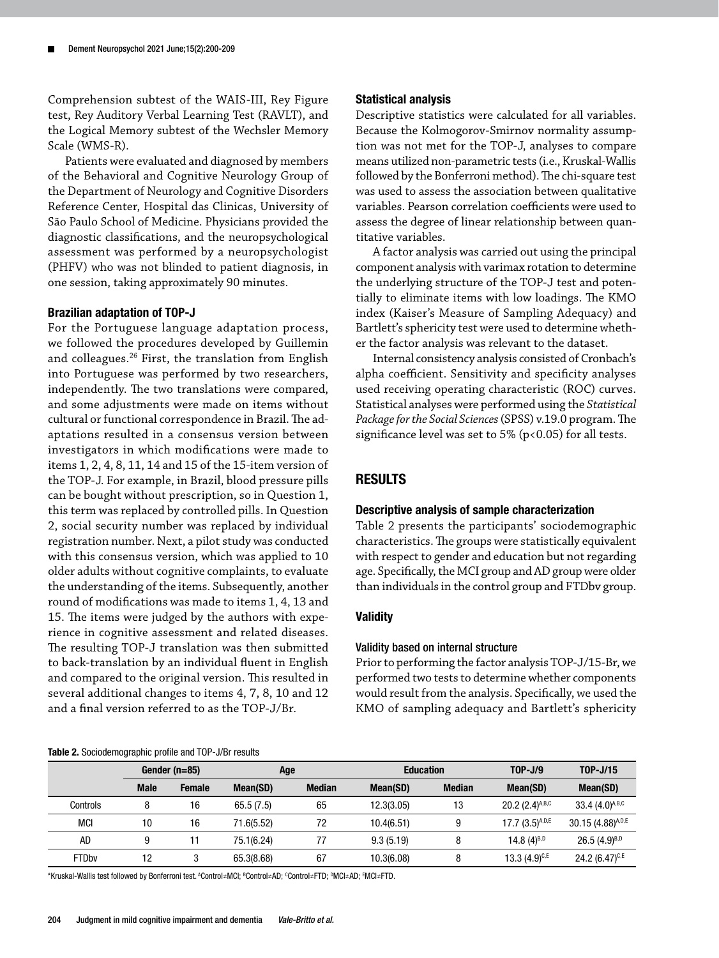Comprehension subtest of the WAIS-III, Rey Figure test, Rey Auditory Verbal Learning Test (RAVLT), and the Logical Memory subtest of the Wechsler Memory Scale (WMS-R).

Patients were evaluated and diagnosed by members of the Behavioral and Cognitive Neurology Group of the Department of Neurology and Cognitive Disorders Reference Center, Hospital das Clinicas, University of São Paulo School of Medicine. Physicians provided the diagnostic classifications, and the neuropsychological assessment was performed by a neuropsychologist (PHFV) who was not blinded to patient diagnosis, in one session, taking approximately 90 minutes.

#### Brazilian adaptation of TOP-J

For the Portuguese language adaptation process, we followed the procedures developed by Guillemin and colleagues.26 First, the translation from English into Portuguese was performed by two researchers, independently. The two translations were compared, and some adjustments were made on items without cultural or functional correspondence in Brazil. The adaptations resulted in a consensus version between investigators in which modifications were made to items 1, 2, 4, 8, 11, 14 and 15 of the 15-item version of the TOP-J. For example, in Brazil, blood pressure pills can be bought without prescription, so in Question 1, this term was replaced by controlled pills. In Question 2, social security number was replaced by individual registration number. Next, a pilot study was conducted with this consensus version, which was applied to 10 older adults without cognitive complaints, to evaluate the understanding of the items. Subsequently, another round of modifications was made to items 1, 4, 13 and 15. The items were judged by the authors with experience in cognitive assessment and related diseases. The resulting TOP-J translation was then submitted to back-translation by an individual fluent in English and compared to the original version. This resulted in several additional changes to items 4, 7, 8, 10 and 12 and a final version referred to as the TOP-J/Br.

#### Table 2. Sociodemographic profile and TOP-J/Br results

#### Statistical analysis

Descriptive statistics were calculated for all variables. Because the Kolmogorov-Smirnov normality assumption was not met for the TOP-J, analyses to compare means utilized non-parametric tests (i.e., Kruskal-Wallis followed by the Bonferroni method). The chi-square test was used to assess the association between qualitative variables. Pearson correlation coefficients were used to assess the degree of linear relationship between quantitative variables.

A factor analysis was carried out using the principal component analysis with varimax rotation to determine the underlying structure of the TOP-J test and potentially to eliminate items with low loadings. The KMO index (Kaiser's Measure of Sampling Adequacy) and Bartlett's sphericity test were used to determine whether the factor analysis was relevant to the dataset.

Internal consistency analysis consisted of Cronbach's alpha coefficient. Sensitivity and specificity analyses used receiving operating characteristic (ROC) curves. Statistical analyses were performed using the *Statistical Package for the Social Sciences* (SPSS) v.19.0 program. The significance level was set to 5% (p<0.05) for all tests.

# RESULTS

#### Descriptive analysis of sample characterization

Table 2 presents the participants' sociodemographic characteristics. The groups were statistically equivalent with respect to gender and education but not regarding age. Specifically, the MCI group and AD group were older than individuals in the control group and FTDbv group.

## **Validity**

#### Validity based on internal structure

Prior to performing the factor analysis TOP-J/15-Br, we performed two tests to determine whether components would result from the analysis. Specifically, we used the KMO of sampling adequacy and Bartlett's sphericity

|              | Gender (n=85) |               | Age        |               | <b>Education</b> |               | $TOP-J/9$              | T0P-J/15              |
|--------------|---------------|---------------|------------|---------------|------------------|---------------|------------------------|-----------------------|
|              | <b>Male</b>   | <b>Female</b> | Mean(SD)   | <b>Median</b> | Mean(SD)         | <b>Median</b> | Mean(SD)               | Mean(SD)              |
| Controls     | 8             | 16            | 65.5(7.5)  | 65            | 12.3(3.05)       | 13            | 20.2 $(2.4)^{A,B,C}$   | 33.4 $(4.0)^{A,B,C}$  |
| MCI          | 10            | 16            | 71.6(5.52) | 72            | 10.4(6.51)       | 9             | $17.7 (3.5)^{A, D, E}$ | $30.15(4.88)^{A,D,E}$ |
| <b>AD</b>    | 9             | 11            | 75.1(6.24) | 77            | 9.3(5.19)        | 8             | 14.8 $(4)^{B,D}$       | $26.5(4.9)^{B,D}$     |
| <b>FTDby</b> | 12            | 3             | 65.3(8.68) | 67            | 10.3(6.08)       | 8             | $13.3(4.9)^{c,E}$      | 24.2 $(6.47)^{C,E}$   |

\*Kruskal-Wallis test followed by Bonferroni test. ^Control≠MCl; <sup>s</sup>Control≠AD; <sup>c</sup>Control≠FTD; <sup>p</sup>MCl≠AD; <sup>s</sup>MCl≠FTD.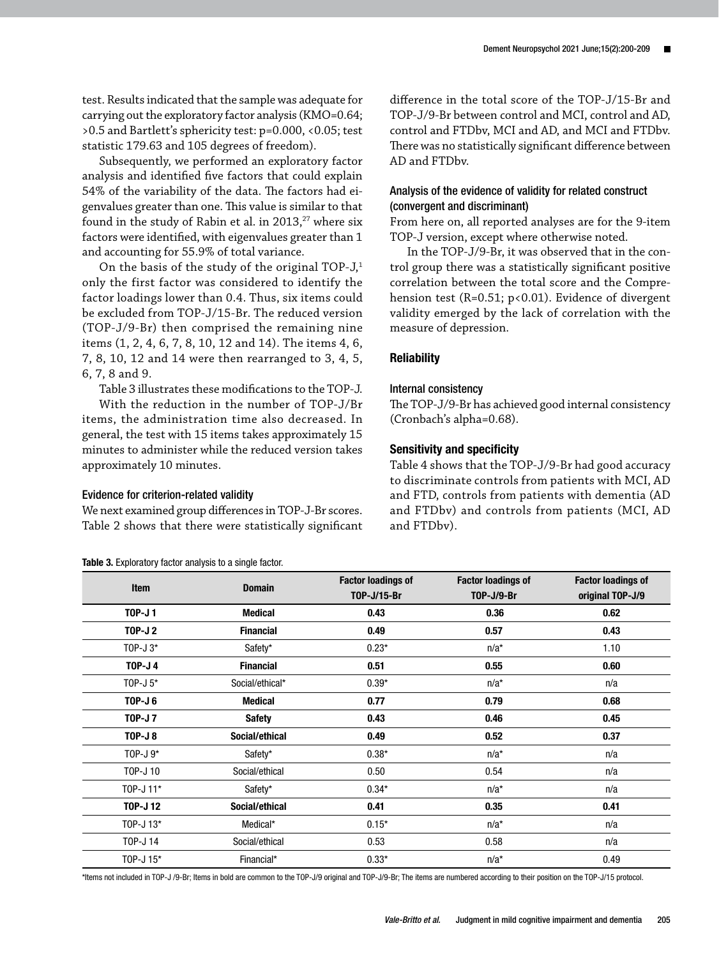test. Results indicated that the sample was adequate for carrying out the exploratory factor analysis (KMO=0.64; >0.5 and Bartlett's sphericity test: p=0.000, <0.05; test statistic 179.63 and 105 degrees of freedom).

Subsequently, we performed an exploratory factor analysis and identified five factors that could explain 54% of the variability of the data. The factors had eigenvalues greater than one. This value is similar to that found in the study of Rabin et al. in  $2013$ ,<sup>27</sup> where six factors were identified, with eigenvalues greater than 1 and accounting for 55.9% of total variance.

On the basis of the study of the original TOP- $J<sub>i</sub><sup>1</sup>$ only the first factor was considered to identify the factor loadings lower than 0.4. Thus, six items could be excluded from TOP-J/15-Br. The reduced version (TOP-J/9-Br) then comprised the remaining nine items (1, 2, 4, 6, 7, 8, 10, 12 and 14). The items 4, 6, 7, 8, 10, 12 and 14 were then rearranged to 3, 4, 5, 6, 7, 8 and 9.

Table 3 illustrates these modifications to the TOP-J.

With the reduction in the number of TOP-J/Br items, the administration time also decreased. In general, the test with 15 items takes approximately 15 minutes to administer while the reduced version takes approximately 10 minutes.

#### Evidence for criterion-related validity

We next examined group differences in TOP-J-Br scores. Table 2 shows that there were statistically significant

#### Table 3. Exploratory factor analysis to a single factor.

difference in the total score of the TOP-J/15-Br and TOP-J/9-Br between control and MCI, control and AD, control and FTDbv, MCI and AD, and MCI and FTDbv. There was no statistically significant difference between AD and FTDbv.

# Analysis of the evidence of validity for related construct (convergent and discriminant)

From here on, all reported analyses are for the 9-item TOP-J version, except where otherwise noted.

In the TOP-J/9-Br, it was observed that in the control group there was a statistically significant positive correlation between the total score and the Comprehension test (R=0.51; p<0.01). Evidence of divergent validity emerged by the lack of correlation with the measure of depression.

## **Reliability**

#### Internal consistency

The TOP-J/9-Br has achieved good internal consistency (Cronbach's alpha=0.68).

#### Sensitivity and specificity

Table 4 shows that the TOP-J/9-Br had good accuracy to discriminate controls from patients with MCI, AD and FTD, controls from patients with dementia (AD and FTDbv) and controls from patients (MCI, AD and FTDbv).

| <b>Item</b>    | <b>Domain</b>    | <b>Factor loadings of</b><br>T0P-J/15-Br | <b>Factor loadings of</b><br><b>TOP-J/9-Br</b> | <b>Factor loadings of</b><br>original TOP-J/9 |
|----------------|------------------|------------------------------------------|------------------------------------------------|-----------------------------------------------|
| <b>TOP-J1</b>  | <b>Medical</b>   | 0.43                                     | 0.36                                           | 0.62                                          |
| <b>TOP-J2</b>  | <b>Financial</b> | 0.49                                     | 0.57                                           | 0.43                                          |
| TOP-J $3*$     | Safety*          | $0.23*$                                  | $n/a^*$                                        | 1.10                                          |
| <b>TOP-J4</b>  | <b>Financial</b> | 0.51                                     | 0.55                                           | 0.60                                          |
| TOP-J $5^*$    | Social/ethical*  | $0.39*$                                  | $n/a^*$                                        | n/a                                           |
| <b>TOP-J6</b>  | <b>Medical</b>   | 0.77                                     | 0.79                                           | 0.68                                          |
| <b>TOP-J7</b>  | <b>Safety</b>    | 0.43                                     | 0.46                                           | 0.45                                          |
| <b>TOP-J8</b>  | Social/ethical   | 0.49                                     | 0.52                                           | 0.37                                          |
| TOP-J $9$ *    | Safety*          | $0.38*$                                  | $n/a^*$                                        | n/a                                           |
| T0P-J 10       | Social/ethical   | 0.50                                     | 0.54                                           | n/a                                           |
| T0P-J 11*      | Safety*          | $0.34*$                                  | $n/a^*$                                        | n/a                                           |
| <b>TOP-J12</b> | Social/ethical   | 0.41                                     | 0.35                                           | 0.41                                          |
| T0P-J 13*      | Medical*         | $0.15*$                                  | $n/a^*$                                        | n/a                                           |
| T0P-J 14       | Social/ethical   | 0.53                                     | 0.58                                           | n/a                                           |
| T0P-J 15*      | Financial*       | $0.33*$                                  | $n/a^*$                                        | 0.49                                          |

\*Items not included in TOP-J /9-Br; Items in bold are common to the TOP-J/9 original and TOP-J/9-Br; The items are numbered according to their position on the TOP-J/15 protocol.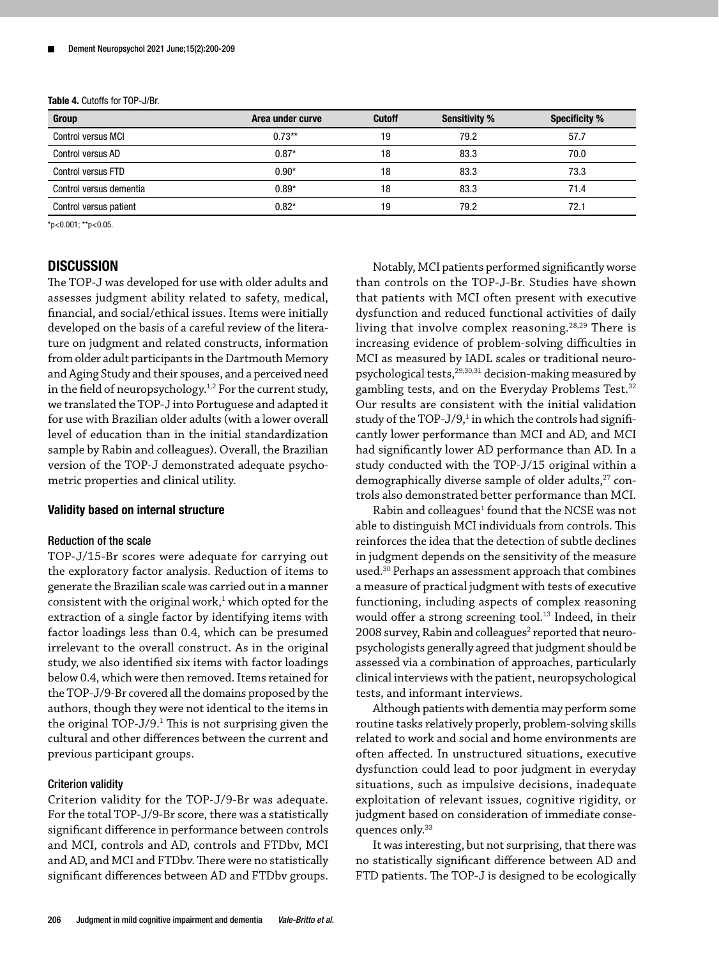Table 4. Cutoffs for TOP-J/Br.

| Group                     | Area under curve | <b>Cutoff</b> | <b>Sensitivity %</b> | <b>Specificity %</b> |
|---------------------------|------------------|---------------|----------------------|----------------------|
| <b>Control versus MCI</b> | $0.73**$         | 19            | 79.2                 | 57.7                 |
| Control versus AD         | $0.87*$          | 18            | 83.3                 | 70.0                 |
| <b>Control versus FTD</b> | $0.90*$          | 18            | 83.3                 | 73.3                 |
| Control versus dementia   | $0.89*$          | 18            | 83.3                 | 71.4                 |
| Control versus patient    | $0.82*$          | 19            | 79.2                 | 72.1                 |

\*p<0.001; \*\*p<0.05.

# **DISCUSSION**

The TOP-J was developed for use with older adults and assesses judgment ability related to safety, medical, financial, and social/ethical issues. Items were initially developed on the basis of a careful review of the literature on judgment and related constructs, information from older adult participants in the Dartmouth Memory and Aging Study and their spouses, and a perceived need in the field of neuropsychology.1,2 For the current study, we translated the TOP-J into Portuguese and adapted it for use with Brazilian older adults (with a lower overall level of education than in the initial standardization sample by Rabin and colleagues). Overall, the Brazilian version of the TOP-J demonstrated adequate psychometric properties and clinical utility.

#### Validity based on internal structure

#### Reduction of the scale

TOP-J/15-Br scores were adequate for carrying out the exploratory factor analysis. Reduction of items to generate the Brazilian scale was carried out in a manner consistent with the original work, $1$  which opted for the extraction of a single factor by identifying items with factor loadings less than 0.4, which can be presumed irrelevant to the overall construct. As in the original study, we also identified six items with factor loadings below 0.4, which were then removed. Items retained for the TOP-J/9-Br covered all the domains proposed by the authors, though they were not identical to the items in the original TOP-J/9.<sup>1</sup> This is not surprising given the cultural and other differences between the current and previous participant groups.

#### Criterion validity

Criterion validity for the TOP-J/9-Br was adequate. For the total TOP-J/9-Br score, there was a statistically significant difference in performance between controls and MCI, controls and AD, controls and FTDbv, MCI and AD, and MCI and FTDbv. There were no statistically significant differences between AD and FTDbv groups.

Notably, MCI patients performed significantly worse than controls on the TOP-J-Br. Studies have shown that patients with MCI often present with executive dysfunction and reduced functional activities of daily living that involve complex reasoning.<sup>28,29</sup> There is increasing evidence of problem-solving difficulties in MCI as measured by IADL scales or traditional neuropsychological tests,<sup>29,30,31</sup> decision-making measured by gambling tests, and on the Everyday Problems Test.<sup>32</sup> Our results are consistent with the initial validation study of the TOP-J/9, $^1$  in which the controls had significantly lower performance than MCI and AD, and MCI had significantly lower AD performance than AD. In a study conducted with the TOP-J/15 original within a demographically diverse sample of older adults,<sup>27</sup> controls also demonstrated better performance than MCI.

Rabin and colleagues<sup>1</sup> found that the NCSE was not able to distinguish MCI individuals from controls. This reinforces the idea that the detection of subtle declines in judgment depends on the sensitivity of the measure used.30 Perhaps an assessment approach that combines a measure of practical judgment with tests of executive functioning, including aspects of complex reasoning would offer a strong screening tool.<sup>13</sup> Indeed, in their 2008 survey, Rabin and colleagues<sup>2</sup> reported that neuropsychologists generally agreed that judgment should be assessed via a combination of approaches, particularly clinical interviews with the patient, neuropsychological tests, and informant interviews.

Although patients with dementia may perform some routine tasks relatively properly, problem-solving skills related to work and social and home environments are often affected. In unstructured situations, executive dysfunction could lead to poor judgment in everyday situations, such as impulsive decisions, inadequate exploitation of relevant issues, cognitive rigidity, or judgment based on consideration of immediate consequences only.<sup>33</sup>

It was interesting, but not surprising, that there was no statistically significant difference between AD and FTD patients. The TOP-J is designed to be ecologically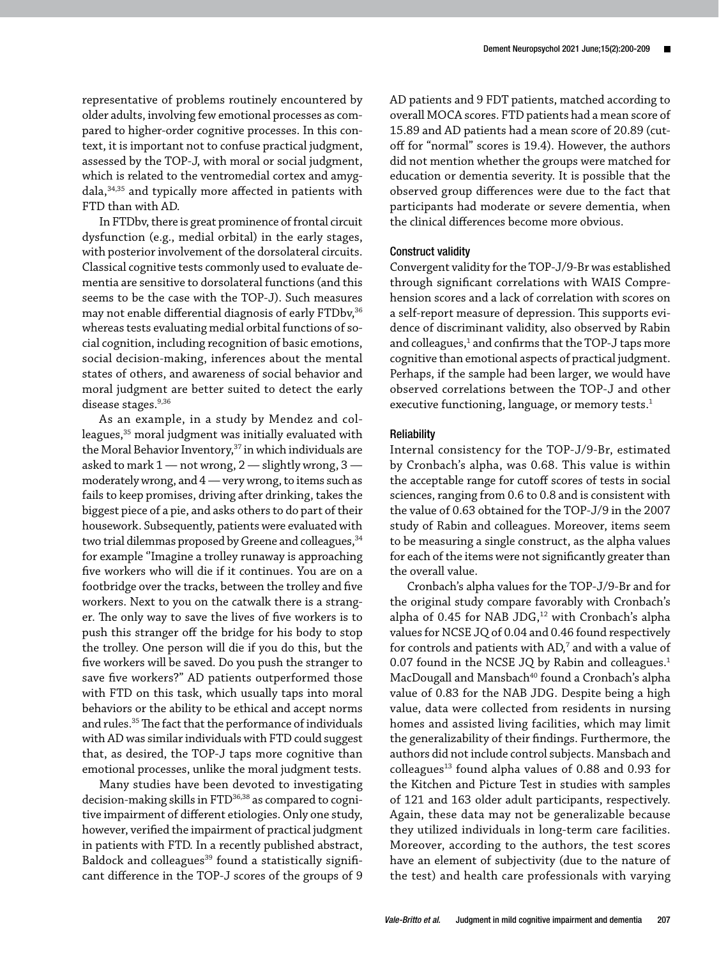representative of problems routinely encountered by older adults, involving few emotional processes as compared to higher-order cognitive processes. In this context, it is important not to confuse practical judgment, assessed by the TOP-J, with moral or social judgment, which is related to the ventromedial cortex and amygdala,34,35 and typically more affected in patients with FTD than with AD.

In FTDbv, there is great prominence of frontal circuit dysfunction (e.g., medial orbital) in the early stages, with posterior involvement of the dorsolateral circuits. Classical cognitive tests commonly used to evaluate dementia are sensitive to dorsolateral functions (and this seems to be the case with the TOP-J). Such measures may not enable differential diagnosis of early FTDbv,<sup>36</sup> whereas tests evaluating medial orbital functions of social cognition, including recognition of basic emotions, social decision-making, inferences about the mental states of others, and awareness of social behavior and moral judgment are better suited to detect the early disease stages.<sup>9,36</sup>

As an example, in a study by Mendez and colleagues,<sup>35</sup> moral judgment was initially evaluated with the Moral Behavior Inventory,<sup>37</sup> in which individuals are asked to mark  $1$  — not wrong,  $2$  — slightly wrong,  $3$  moderately wrong, and 4 — very wrong, to items such as fails to keep promises, driving after drinking, takes the biggest piece of a pie, and asks others to do part of their housework. Subsequently, patients were evaluated with two trial dilemmas proposed by Greene and colleagues, <sup>34</sup> for example ''Imagine a trolley runaway is approaching five workers who will die if it continues. You are on a footbridge over the tracks, between the trolley and five workers. Next to you on the catwalk there is a stranger. The only way to save the lives of five workers is to push this stranger off the bridge for his body to stop the trolley. One person will die if you do this, but the five workers will be saved. Do you push the stranger to save five workers?" AD patients outperformed those with FTD on this task, which usually taps into moral behaviors or the ability to be ethical and accept norms and rules.<sup>35</sup> The fact that the performance of individuals with AD was similar individuals with FTD could suggest that, as desired, the TOP-J taps more cognitive than emotional processes, unlike the moral judgment tests.

Many studies have been devoted to investigating decision-making skills in FTD<sup>36,38</sup> as compared to cognitive impairment of different etiologies. Only one study, however, verified the impairment of practical judgment in patients with FTD. In a recently published abstract, Baldock and colleagues<sup>39</sup> found a statistically significant difference in the TOP-J scores of the groups of 9 AD patients and 9 FDT patients, matched according to overall MOCA scores. FTD patients had a mean score of 15.89 and AD patients had a mean score of 20.89 (cutoff for "normal" scores is 19.4). However, the authors did not mention whether the groups were matched for education or dementia severity. It is possible that the observed group differences were due to the fact that participants had moderate or severe dementia, when the clinical differences become more obvious.

#### Construct validity

Convergent validity for the TOP-J/9-Br was established through significant correlations with WAIS Comprehension scores and a lack of correlation with scores on a self-report measure of depression. This supports evidence of discriminant validity, also observed by Rabin and colleagues,<sup>1</sup> and confirms that the TOP-J taps more cognitive than emotional aspects of practical judgment. Perhaps, if the sample had been larger, we would have observed correlations between the TOP-J and other executive functioning, language, or memory tests.<sup>1</sup>

#### **Reliability**

Internal consistency for the TOP-J/9-Br, estimated by Cronbach's alpha, was 0.68. This value is within the acceptable range for cutoff scores of tests in social sciences, ranging from 0.6 to 0.8 and is consistent with the value of 0.63 obtained for the TOP-J/9 in the 2007 study of Rabin and colleagues. Moreover, items seem to be measuring a single construct, as the alpha values for each of the items were not significantly greater than the overall value.

Cronbach's alpha values for the TOP-J/9-Br and for the original study compare favorably with Cronbach's alpha of 0.45 for NAB JDG,<sup>12</sup> with Cronbach's alpha values for NCSE JQ of 0.04 and 0.46 found respectively for controls and patients with AD,<sup>7</sup> and with a value of 0.07 found in the NCSE JQ by Rabin and colleagues.<sup>1</sup> MacDougall and Mansbach<sup>40</sup> found a Cronbach's alpha value of 0.83 for the NAB JDG. Despite being a high value, data were collected from residents in nursing homes and assisted living facilities, which may limit the generalizability of their findings. Furthermore, the authors did not include control subjects. Mansbach and  $colle$ agues<sup>13</sup> found alpha values of 0.88 and 0.93 for the Kitchen and Picture Test in studies with samples of 121 and 163 older adult participants, respectively. Again, these data may not be generalizable because they utilized individuals in long-term care facilities. Moreover, according to the authors, the test scores have an element of subjectivity (due to the nature of the test) and health care professionals with varying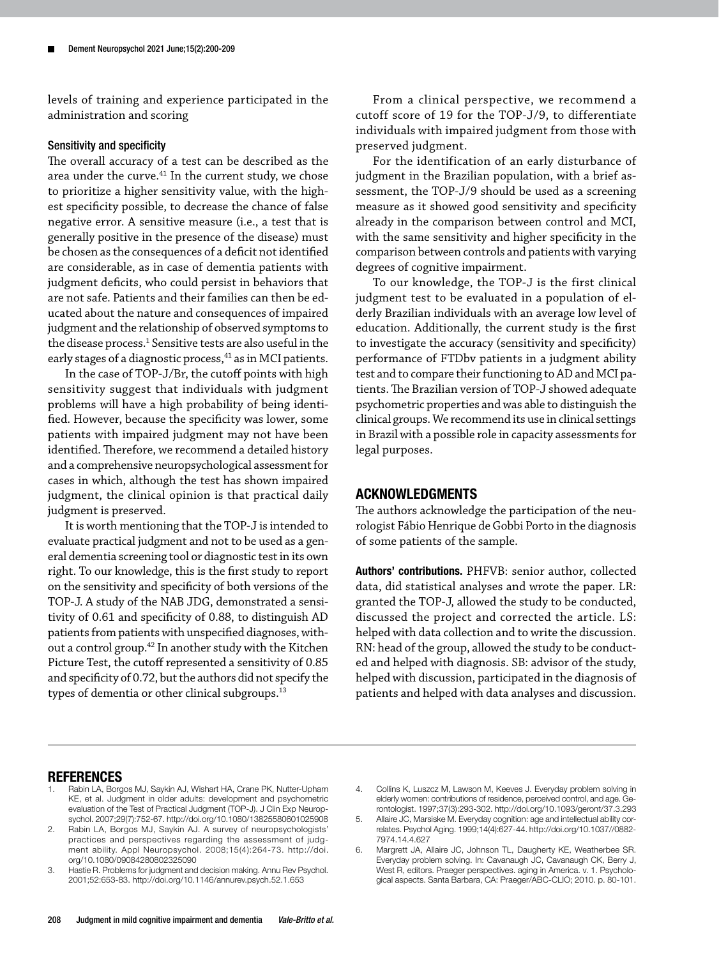levels of training and experience participated in the administration and scoring

## Sensitivity and specificity

The overall accuracy of a test can be described as the area under the curve. $41$  In the current study, we chose to prioritize a higher sensitivity value, with the highest specificity possible, to decrease the chance of false negative error. A sensitive measure (i.e., a test that is generally positive in the presence of the disease) must be chosen as the consequences of a deficit not identified are considerable, as in case of dementia patients with judgment deficits, who could persist in behaviors that are not safe. Patients and their families can then be educated about the nature and consequences of impaired judgment and the relationship of observed symptoms to the disease process.<sup>1</sup> Sensitive tests are also useful in the early stages of a diagnostic process,  $41$  as in MCI patients.

In the case of TOP-J/Br, the cutoff points with high sensitivity suggest that individuals with judgment problems will have a high probability of being identified. However, because the specificity was lower, some patients with impaired judgment may not have been identified. Therefore, we recommend a detailed history and a comprehensive neuropsychological assessment for cases in which, although the test has shown impaired judgment, the clinical opinion is that practical daily judgment is preserved.

It is worth mentioning that the TOP-J is intended to evaluate practical judgment and not to be used as a general dementia screening tool or diagnostic test in its own right. To our knowledge, this is the first study to report on the sensitivity and specificity of both versions of the TOP-J. A study of the NAB JDG, demonstrated a sensitivity of 0.61 and specificity of 0.88, to distinguish AD patients from patients with unspecified diagnoses, without a control group.<sup>42</sup> In another study with the Kitchen Picture Test, the cutoff represented a sensitivity of 0.85 and specificity of 0.72, but the authors did not specify the types of dementia or other clinical subgroups.<sup>13</sup>

From a clinical perspective, we recommend a cutoff score of 19 for the TOP-J/9, to differentiate individuals with impaired judgment from those with preserved judgment.

For the identification of an early disturbance of judgment in the Brazilian population, with a brief assessment, the TOP-J/9 should be used as a screening measure as it showed good sensitivity and specificity already in the comparison between control and MCI, with the same sensitivity and higher specificity in the comparison between controls and patients with varying degrees of cognitive impairment.

To our knowledge, the TOP-J is the first clinical judgment test to be evaluated in a population of elderly Brazilian individuals with an average low level of education. Additionally, the current study is the first to investigate the accuracy (sensitivity and specificity) performance of FTDbv patients in a judgment ability test and to compare their functioning to AD and MCI patients. The Brazilian version of TOP-J showed adequate psychometric properties and was able to distinguish the clinical groups. We recommend its use in clinical settings in Brazil with a possible role in capacity assessments for legal purposes.

# ACKNOWLEDGMENTS

The authors acknowledge the participation of the neurologist Fábio Henrique de Gobbi Porto in the diagnosis of some patients of the sample.

Authors' contributions. PHFVB: senior author, collected data, did statistical analyses and wrote the paper. LR: granted the TOP-J, allowed the study to be conducted, discussed the project and corrected the article. LS: helped with data collection and to write the discussion. RN: head of the group, allowed the study to be conducted and helped with diagnosis. SB: advisor of the study, helped with discussion, participated in the diagnosis of patients and helped with data analyses and discussion.

#### **REFERENCES**

- 1. Rabin LA, Borgos MJ, Saykin AJ, Wishart HA, Crane PK, Nutter-Upham KE, et al. Judgment in older adults: development and psychometric evaluation of the Test of Practical Judgment (TOP-J). J Clin Exp Neuropsychol. 2007;29(7):752-67.<http://doi.org/10.1080/13825580601025908>
- 2. Rabin LA, Borgos MJ, Saykin AJ. A survey of neuropsychologists' practices and perspectives regarding the assessment of judgment ability. Appl Neuropsychol. 2008;15(4):264-73. [http://doi.](http://doi.org/10.1080/09084280802325090) [org/10.1080/09084280802325090](http://doi.org/10.1080/09084280802325090)
- 3. Hastie R. Problems for judgment and decision making. Annu Rev Psychol. 2001;52:653-83. <http://doi.org/10.1146/annurev.psych.52.1.653>

<sup>4.</sup> Collins K, Luszcz M, Lawson M, Keeves J. Everyday problem solving in elderly women: contributions of residence, perceived control, and age. Gerontologist. 1997;37(3):293-302.<http://doi.org/10.1093/geront/37.3.293>

<sup>5.</sup> Allaire JC, Marsiske M. Everyday cognition: age and intellectual ability correlates. Psychol Aging. 1999;14(4):627-44. [http://doi.org/10.1037//0882-](http://doi.org/10.1037//0882-7974.14.4.627) [7974.14.4.627](http://doi.org/10.1037//0882-7974.14.4.627)

<sup>6.</sup> Margrett JA, Allaire JC, Johnson TL, Daugherty KE, Weatherbee SR. Everyday problem solving. In: Cavanaugh JC, Cavanaugh CK, Berry J, West R, editors. Praeger perspectives. aging in America. v. 1. Psychological aspects. Santa Barbara, CA: Praeger/ABC-CLIO; 2010. p. 80-101.